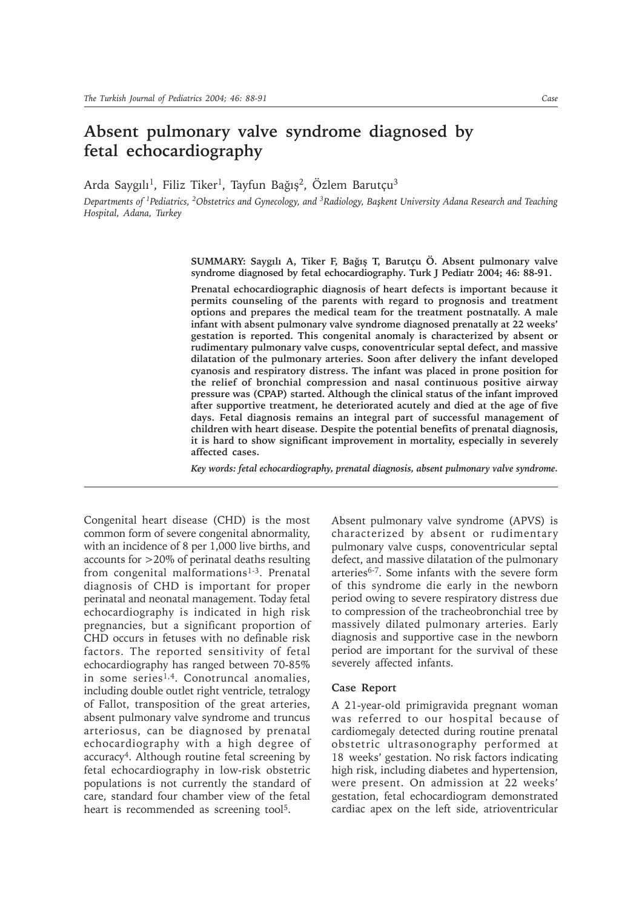## **Absent pulmonary valve syndrome diagnosed by fetal echocardiography**

Arda Saygılı<sup>1</sup>, Filiz Tiker<sup>1</sup>, Tayfun Bağış<sup>2</sup>, Özlem Barutçu<sup>3</sup>

*Departments of 1Pediatrics, 2Obstetrics and Gynecology, and 3Radiology, Baþkent University Adana Research and Teaching Hospital, Adana, Turkey*

> SUMMARY: Saygılı A, Tiker F, Bağış T, Barutçu Ö. Absent pulmonary valve **syndrome diagnosed by fetal echocardiography. Turk J Pediatr 2004; 46: 88-91.**

> **Prenatal echocardiographic diagnosis of heart defects is important because it permits counseling of the parents with regard to prognosis and treatment options and prepares the medical team for the treatment postnatally. A male infant with absent pulmonary valve syndrome diagnosed prenatally at 22 weeks' gestation is reported. This congenital anomaly is characterized by absent or rudimentary pulmonary valve cusps, conoventricular septal defect, and massive dilatation of the pulmonary arteries. Soon after delivery the infant developed cyanosis and respiratory distress. The infant was placed in prone position for the relief of bronchial compression and nasal continuous positive airway pressure was (CPAP) started. Although the clinical status of the infant improved after supportive treatment, he deteriorated acutely and died at the age of five days. Fetal diagnosis remains an integral part of successful management of children with heart disease. Despite the potential benefits of prenatal diagnosis, it is hard to show significant improvement in mortality, especially in severely affected cases.**

> *Key words: fetal echocardiography, prenatal diagnosis, absent pulmonary valve syndrome.*

Congenital heart disease (CHD) is the most common form of severe congenital abnormality, with an incidence of 8 per 1,000 live births, and accounts for >20% of perinatal deaths resulting from congenital malformations<sup>1-3</sup>. Prenatal diagnosis of CHD is important for proper perinatal and neonatal management. Today fetal echocardiography is indicated in high risk pregnancies, but a significant proportion of CHD occurs in fetuses with no definable risk factors. The reported sensitivity of fetal echocardiography has ranged between 70-85% in some series<sup>1,4</sup>. Conotruncal anomalies, including double outlet right ventricle, tetralogy of Fallot, transposition of the great arteries, absent pulmonary valve syndrome and truncus arteriosus, can be diagnosed by prenatal echocardiography with a high degree of accuracy4. Although routine fetal screening by fetal echocardiography in low-risk obstetric populations is not currently the standard of care, standard four chamber view of the fetal heart is recommended as screening tool<sup>5</sup>.

Absent pulmonary valve syndrome (APVS) is characterized by absent or rudimentary pulmonary valve cusps, conoventricular septal defect, and massive dilatation of the pulmonary arteries6-7. Some infants with the severe form of this syndrome die early in the newborn period owing to severe respiratory distress due to compression of the tracheobronchial tree by massively dilated pulmonary arteries. Early diagnosis and supportive case in the newborn period are important for the survival of these severely affected infants.

## **Case Report**

A 21-year-old primigravida pregnant woman was referred to our hospital because of cardiomegaly detected during routine prenatal obstetric ultrasonography performed at 18 weeks' gestation. No risk factors indicating high risk, including diabetes and hypertension, were present. On admission at 22 weeks' gestation, fetal echocardiogram demonstrated cardiac apex on the left side, atrioventricular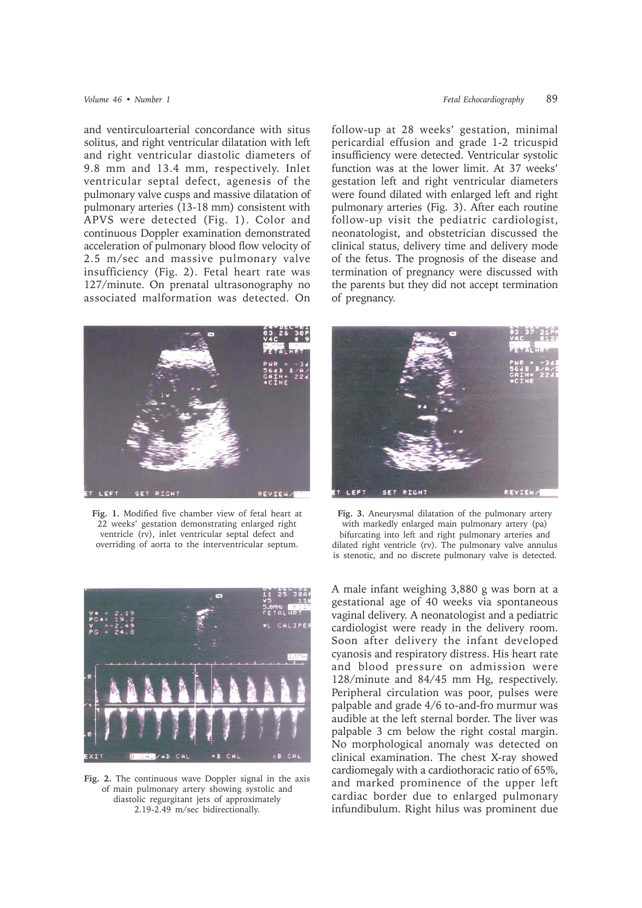and ventirculoarterial concordance with situs solitus, and right ventricular dilatation with left and right ventricular diastolic diameters of 9.8 mm and 13.4 mm, respectively. Inlet ventricular septal defect, agenesis of the pulmonary valve cusps and massive dilatation of pulmonary arteries (13-18 mm) consistent with APVS were detected (Fig. 1). Color and continuous Doppler examination demonstrated acceleration of pulmonary blood flow velocity of 2.5 m/sec and massive pulmonary valve insufficiency (Fig. 2). Fetal heart rate was 127/minute. On prenatal ultrasonography no associated malformation was detected. On



**Fig. 1.** Modified five chamber view of fetal heart at 22 weeks' gestation demonstrating enlarged right ventricle (rv), inlet ventricular septal defect and overriding of aorta to the interventricular septum.



**Fig. 2.** The continuous wave Doppler signal in the axis of main pulmonary artery showing systolic and diastolic regurgitant jets of approximately 2.19-2.49 m/sec bidirectionally.

follow-up at 28 weeks' gestation, minimal pericardial effusion and grade 1-2 tricuspid insufficiency were detected. Ventricular systolic function was at the lower limit. At 37 weeks' gestation left and right ventricular diameters were found dilated with enlarged left and right pulmonary arteries (Fig. 3). After each routine follow-up visit the pediatric cardiologist, neonatologist, and obstetrician discussed the clinical status, delivery time and delivery mode of the fetus. The prognosis of the disease and termination of pregnancy were discussed with the parents but they did not accept termination of pregnancy.



**Fig. 3.** Aneurysmal dilatation of the pulmonary artery with markedly enlarged main pulmonary artery (pa) bifurcating into left and right pulmonary arteries and dilated right ventricle (rv). The pulmonary valve annulus is stenotic, and no discrete pulmonary valve is detected.

A male infant weighing 3,880 g was born at a gestational age of 40 weeks via spontaneous vaginal delivery. A neonatologist and a pediatric cardiologist were ready in the delivery room. Soon after delivery the infant developed cyanosis and respiratory distress. His heart rate and blood pressure on admission were 128/minute and 84/45 mm Hg, respectively. Peripheral circulation was poor, pulses were palpable and grade 4/6 to-and-fro murmur was audible at the left sternal border. The liver was palpable 3 cm below the right costal margin. No morphological anomaly was detected on clinical examination. The chest X-ray showed cardiomegaly with a cardiothoracic ratio of 65%, and marked prominence of the upper left cardiac border due to enlarged pulmonary infundibulum. Right hilus was prominent due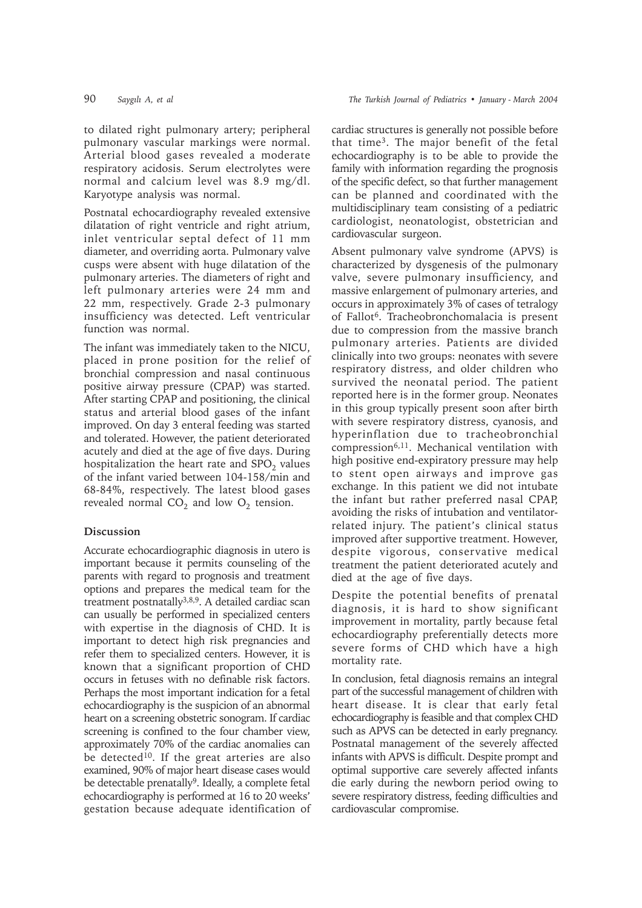Karyotype analysis was normal.

to dilated right pulmonary artery; peripheral pulmonary vascular markings were normal. Arterial blood gases revealed a moderate respiratory acidosis. Serum electrolytes were normal and calcium level was 8.9 mg/dl.

Postnatal echocardiography revealed extensive dilatation of right ventricle and right atrium, inlet ventricular septal defect of 11 mm diameter, and overriding aorta. Pulmonary valve cusps were absent with huge dilatation of the pulmonary arteries. The diameters of right and left pulmonary arteries were 24 mm and 22 mm, respectively. Grade 2-3 pulmonary insufficiency was detected. Left ventricular function was normal.

The infant was immediately taken to the NICU, placed in prone position for the relief of bronchial compression and nasal continuous positive airway pressure (CPAP) was started. After starting CPAP and positioning, the clinical status and arterial blood gases of the infant improved. On day 3 enteral feeding was started and tolerated. However, the patient deteriorated acutely and died at the age of five days. During hospitalization the heart rate and  $SPO<sub>2</sub>$  values of the infant varied between 104-158/min and 68-84%, respectively. The latest blood gases revealed normal  $CO<sub>2</sub>$  and low  $O<sub>2</sub>$  tension.

## **Discussion**

Accurate echocardiographic diagnosis in utero is important because it permits counseling of the parents with regard to prognosis and treatment options and prepares the medical team for the treatment postnatally<sup>3,8,9</sup>. A detailed cardiac scan can usually be performed in specialized centers with expertise in the diagnosis of CHD. It is important to detect high risk pregnancies and refer them to specialized centers. However, it is known that a significant proportion of CHD occurs in fetuses with no definable risk factors. Perhaps the most important indication for a fetal echocardiography is the suspicion of an abnormal heart on a screening obstetric sonogram. If cardiac screening is confined to the four chamber view, approximately 70% of the cardiac anomalies can be detected<sup>10</sup>. If the great arteries are also examined, 90% of major heart disease cases would be detectable prenatally<sup>9</sup>. Ideally, a complete fetal echocardiography is performed at 16 to 20 weeks' gestation because adequate identification of

cardiac structures is generally not possible before that time3. The major benefit of the fetal echocardiography is to be able to provide the family with information regarding the prognosis of the specific defect, so that further management can be planned and coordinated with the multidisciplinary team consisting of a pediatric cardiologist, neonatologist, obstetrician and cardiovascular surgeon.

Absent pulmonary valve syndrome (APVS) is characterized by dysgenesis of the pulmonary valve, severe pulmonary insufficiency, and massive enlargement of pulmonary arteries, and occurs in approximately 3% of cases of tetralogy of Fallot6. Tracheobronchomalacia is present due to compression from the massive branch pulmonary arteries. Patients are divided clinically into two groups: neonates with severe respiratory distress, and older children who survived the neonatal period. The patient reported here is in the former group. Neonates in this group typically present soon after birth with severe respiratory distress, cyanosis, and hyperinflation due to tracheobronchial compression6,11. Mechanical ventilation with high positive end-expiratory pressure may help to stent open airways and improve gas exchange. In this patient we did not intubate the infant but rather preferred nasal CPAP, avoiding the risks of intubation and ventilatorrelated injury. The patient's clinical status improved after supportive treatment. However, despite vigorous, conservative medical treatment the patient deteriorated acutely and died at the age of five days.

Despite the potential benefits of prenatal diagnosis, it is hard to show significant improvement in mortality, partly because fetal echocardiography preferentially detects more severe forms of CHD which have a high mortality rate.

In conclusion, fetal diagnosis remains an integral part of the successful management of children with heart disease. It is clear that early fetal echocardiography is feasible and that complex CHD such as APVS can be detected in early pregnancy. Postnatal management of the severely affected infants with APVS is difficult. Despite prompt and optimal supportive care severely affected infants die early during the newborn period owing to severe respiratory distress, feeding difficulties and cardiovascular compromise.